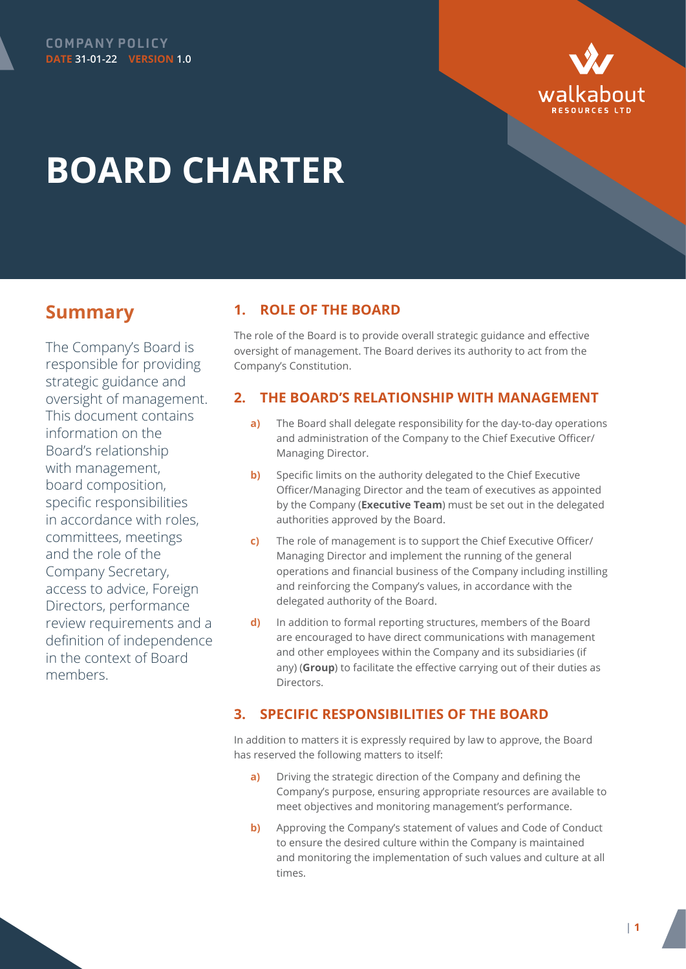



# **BOARD CHARTER**

# **Summary**

The Company's Board is responsible for providing strategic guidance and oversight of management. This document contains information on the Board's relationship with management, board composition, specific responsibilities in accordance with roles, committees, meetings and the role of the Company Secretary, access to advice, Foreign Directors, performance review requirements and a definition of independence in the context of Board members.

# **1. ROLE OF THE BOARD**

The role of the Board is to provide overall strategic guidance and effective oversight of management. The Board derives its authority to act from the Company's Constitution.

# **2. THE BOARD'S RELATIONSHIP WITH MANAGEMENT**

- **a)** The Board shall delegate responsibility for the day-to-day operations and administration of the Company to the Chief Executive Officer/ Managing Director.
- **b)** Specific limits on the authority delegated to the Chief Executive Officer/Managing Director and the team of executives as appointed by the Company (**Executive Team**) must be set out in the delegated authorities approved by the Board.
- **c)** The role of management is to support the Chief Executive Officer/ Managing Director and implement the running of the general operations and financial business of the Company including instilling and reinforcing the Company's values, in accordance with the delegated authority of the Board.
- **d)** In addition to formal reporting structures, members of the Board are encouraged to have direct communications with management and other employees within the Company and its subsidiaries (if any) (**Group**) to facilitate the effective carrying out of their duties as Directors.

# **3. SPECIFIC RESPONSIBILITIES OF THE BOARD**

In addition to matters it is expressly required by law to approve, the Board has reserved the following matters to itself:

- **a)** Driving the strategic direction of the Company and defining the Company's purpose, ensuring appropriate resources are available to meet objectives and monitoring management's performance.
- **b)** Approving the Company's statement of values and Code of Conduct to ensure the desired culture within the Company is maintained and monitoring the implementation of such values and culture at all times.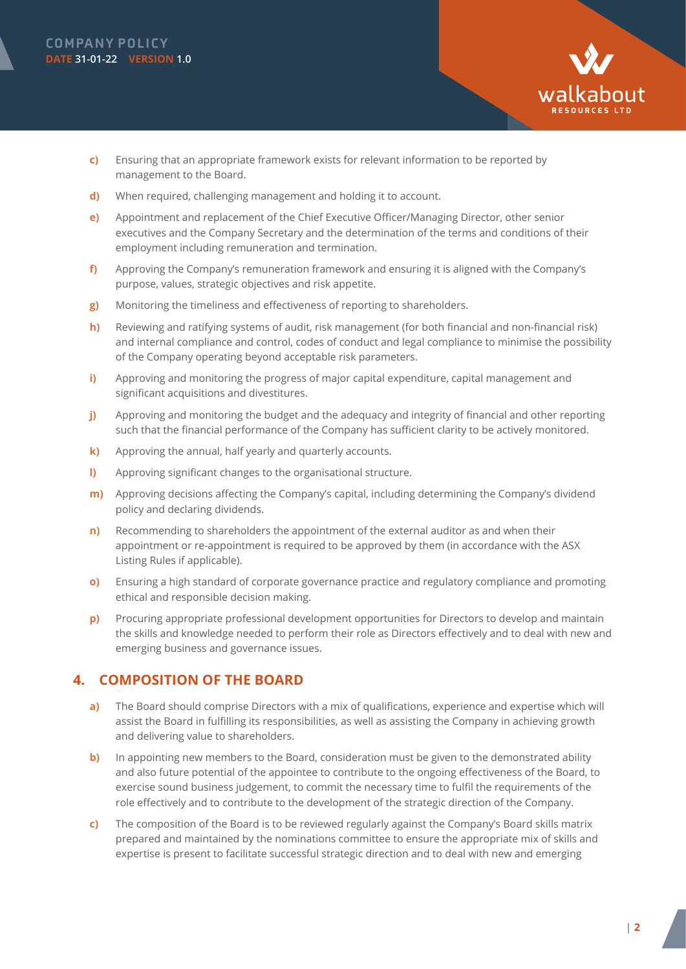

- **c)** Ensuring that an appropriate framework exists for relevant information to be reported by management to the Board.
- **d)** When required, challenging management and holding it to account.
- **e)** Appointment and replacement of the Chief Executive Officer/Managing Director, other senior executives and the Company Secretary and the determination of the terms and conditions of their employment including remuneration and termination.
- **f)** Approving the Company's remuneration framework and ensuring it is aligned with the Company's purpose, values, strategic objectives and risk appetite.
- **g)** Monitoring the timeliness and effectiveness of reporting to shareholders.
- **h)** Reviewing and ratifying systems of audit, risk management (for both financial and non-financial risk) and internal compliance and control, codes of conduct and legal compliance to minimise the possibility of the Company operating beyond acceptable risk parameters.
- **i)** Approving and monitoring the progress of major capital expenditure, capital management and significant acquisitions and divestitures.
- **j)** Approving and monitoring the budget and the adequacy and integrity of financial and other reporting such that the financial performance of the Company has sufficient clarity to be actively monitored.
- **k)** Approving the annual, half yearly and quarterly accounts.
- **l)** Approving significant changes to the organisational structure.
- **m)** Approving decisions affecting the Company's capital, including determining the Company's dividend policy and declaring dividends.
- **n)** Recommending to shareholders the appointment of the external auditor as and when their appointment or re-appointment is required to be approved by them (in accordance with the ASX Listing Rules if applicable).
- **o)** Ensuring a high standard of corporate governance practice and regulatory compliance and promoting ethical and responsible decision making.
- **p)** Procuring appropriate professional development opportunities for Directors to develop and maintain the skills and knowledge needed to perform their role as Directors effectively and to deal with new and emerging business and governance issues.

# **4. COMPOSITION OF THE BOARD**

- **a)** The Board should comprise Directors with a mix of qualifications, experience and expertise which will assist the Board in fulfilling its responsibilities, as well as assisting the Company in achieving growth and delivering value to shareholders.
- **b)** In appointing new members to the Board, consideration must be given to the demonstrated ability and also future potential of the appointee to contribute to the ongoing effectiveness of the Board, to exercise sound business judgement, to commit the necessary time to fulfil the requirements of the role effectively and to contribute to the development of the strategic direction of the Company.
- **c)** The composition of the Board is to be reviewed regularly against the Company's Board skills matrix prepared and maintained by the nominations committee to ensure the appropriate mix of skills and expertise is present to facilitate successful strategic direction and to deal with new and emerging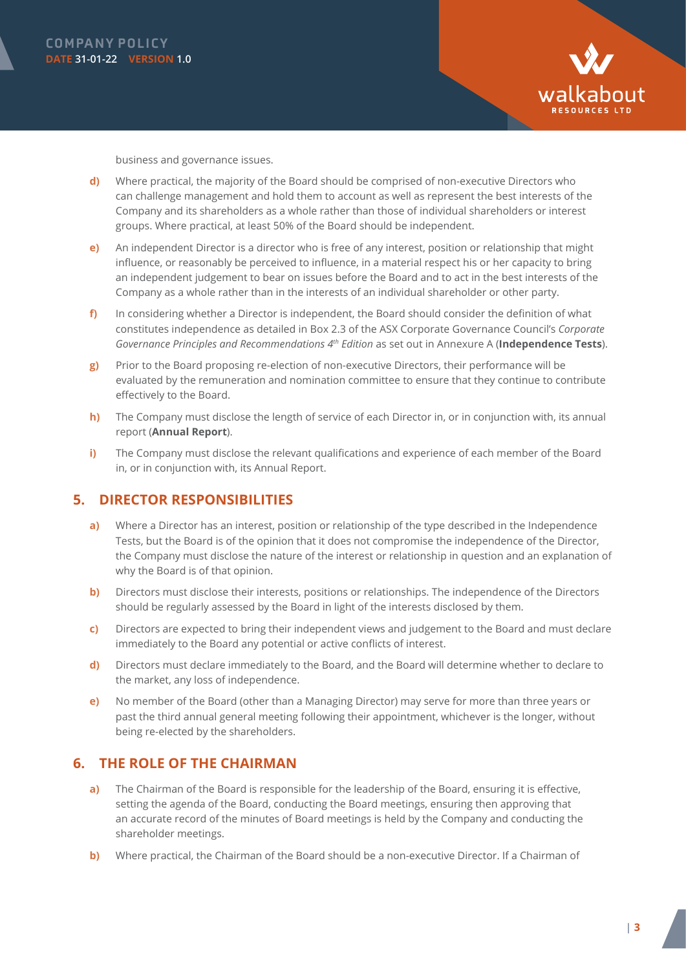



business and governance issues.

- **d)** Where practical, the majority of the Board should be comprised of non-executive Directors who can challenge management and hold them to account as well as represent the best interests of the Company and its shareholders as a whole rather than those of individual shareholders or interest groups. Where practical, at least 50% of the Board should be independent.
- **e)** An independent Director is a director who is free of any interest, position or relationship that might influence, or reasonably be perceived to influence, in a material respect his or her capacity to bring an independent judgement to bear on issues before the Board and to act in the best interests of the Company as a whole rather than in the interests of an individual shareholder or other party.
- **f)** In considering whether a Director is independent, the Board should consider the definition of what constitutes independence as detailed in Box 2.3 of the ASX Corporate Governance Council's *Corporate Governance Principles and Recommendations 4th Edition* as set out in Annexure A (**Independence Tests**).
- **g)** Prior to the Board proposing re-election of non-executive Directors, their performance will be evaluated by the remuneration and nomination committee to ensure that they continue to contribute effectively to the Board.
- **h)** The Company must disclose the length of service of each Director in, or in conjunction with, its annual report (**Annual Report**).
- **i)** The Company must disclose the relevant qualifications and experience of each member of the Board in, or in conjunction with, its Annual Report.

#### **5. DIRECTOR RESPONSIBILITIES**

- **a)** Where a Director has an interest, position or relationship of the type described in the Independence Tests, but the Board is of the opinion that it does not compromise the independence of the Director, the Company must disclose the nature of the interest or relationship in question and an explanation of why the Board is of that opinion.
- **b)** Directors must disclose their interests, positions or relationships. The independence of the Directors should be regularly assessed by the Board in light of the interests disclosed by them.
- **c)** Directors are expected to bring their independent views and judgement to the Board and must declare immediately to the Board any potential or active conflicts of interest.
- **d)** Directors must declare immediately to the Board, and the Board will determine whether to declare to the market, any loss of independence.
- **e)** No member of the Board (other than a Managing Director) may serve for more than three years or past the third annual general meeting following their appointment, whichever is the longer, without being re-elected by the shareholders.

#### **6. THE ROLE OF THE CHAIRMAN**

- **a)** The Chairman of the Board is responsible for the leadership of the Board, ensuring it is effective, setting the agenda of the Board, conducting the Board meetings, ensuring then approving that an accurate record of the minutes of Board meetings is held by the Company and conducting the shareholder meetings.
- **b)** Where practical, the Chairman of the Board should be a non-executive Director. If a Chairman of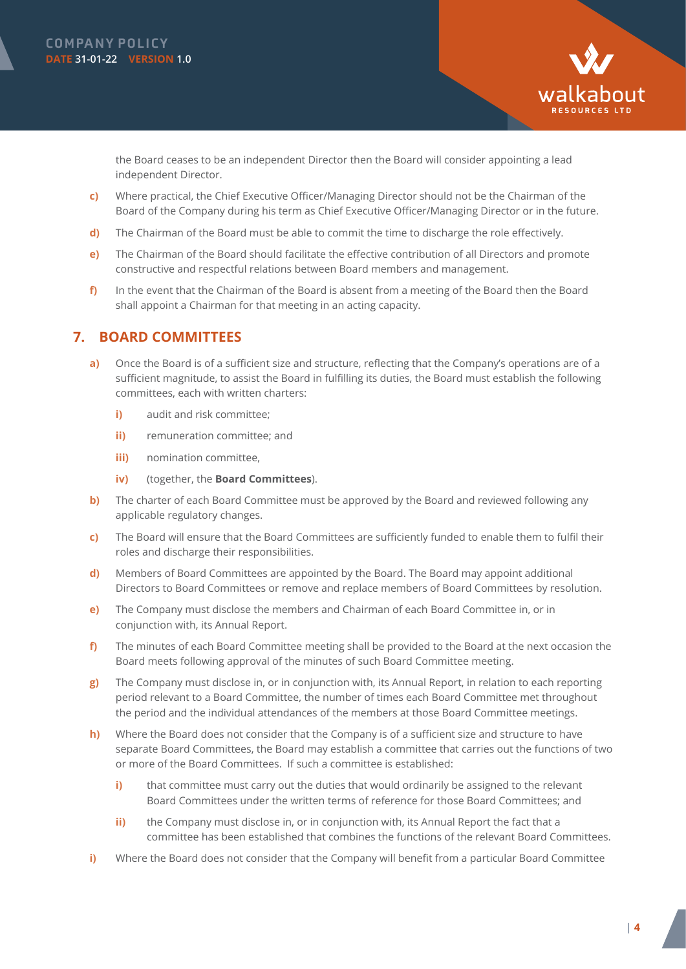



the Board ceases to be an independent Director then the Board will consider appointing a lead independent Director.

- **c)** Where practical, the Chief Executive Officer/Managing Director should not be the Chairman of the Board of the Company during his term as Chief Executive Officer/Managing Director or in the future.
- **d)** The Chairman of the Board must be able to commit the time to discharge the role effectively.
- **e)** The Chairman of the Board should facilitate the effective contribution of all Directors and promote constructive and respectful relations between Board members and management.
- **f)** In the event that the Chairman of the Board is absent from a meeting of the Board then the Board shall appoint a Chairman for that meeting in an acting capacity.

#### **7. BOARD COMMITTEES**

- **a)** Once the Board is of a sufficient size and structure, reflecting that the Company's operations are of a sufficient magnitude, to assist the Board in fulfilling its duties, the Board must establish the following committees, each with written charters:
	- **i)** audit and risk committee;
	- **ii)** remuneration committee; and
	- **iii)** nomination committee,
	- **iv)** (together, the **Board Committees**).
- **b)** The charter of each Board Committee must be approved by the Board and reviewed following any applicable regulatory changes.
- **c)** The Board will ensure that the Board Committees are sufficiently funded to enable them to fulfil their roles and discharge their responsibilities.
- **d)** Members of Board Committees are appointed by the Board. The Board may appoint additional Directors to Board Committees or remove and replace members of Board Committees by resolution.
- **e)** The Company must disclose the members and Chairman of each Board Committee in, or in conjunction with, its Annual Report.
- **f)** The minutes of each Board Committee meeting shall be provided to the Board at the next occasion the Board meets following approval of the minutes of such Board Committee meeting.
- **g)** The Company must disclose in, or in conjunction with, its Annual Report, in relation to each reporting period relevant to a Board Committee, the number of times each Board Committee met throughout the period and the individual attendances of the members at those Board Committee meetings.
- **h)** Where the Board does not consider that the Company is of a sufficient size and structure to have separate Board Committees, the Board may establish a committee that carries out the functions of two or more of the Board Committees. If such a committee is established:
	- **i)** that committee must carry out the duties that would ordinarily be assigned to the relevant Board Committees under the written terms of reference for those Board Committees; and
	- **ii)** the Company must disclose in, or in conjunction with, its Annual Report the fact that a committee has been established that combines the functions of the relevant Board Committees.
- **i)** Where the Board does not consider that the Company will benefit from a particular Board Committee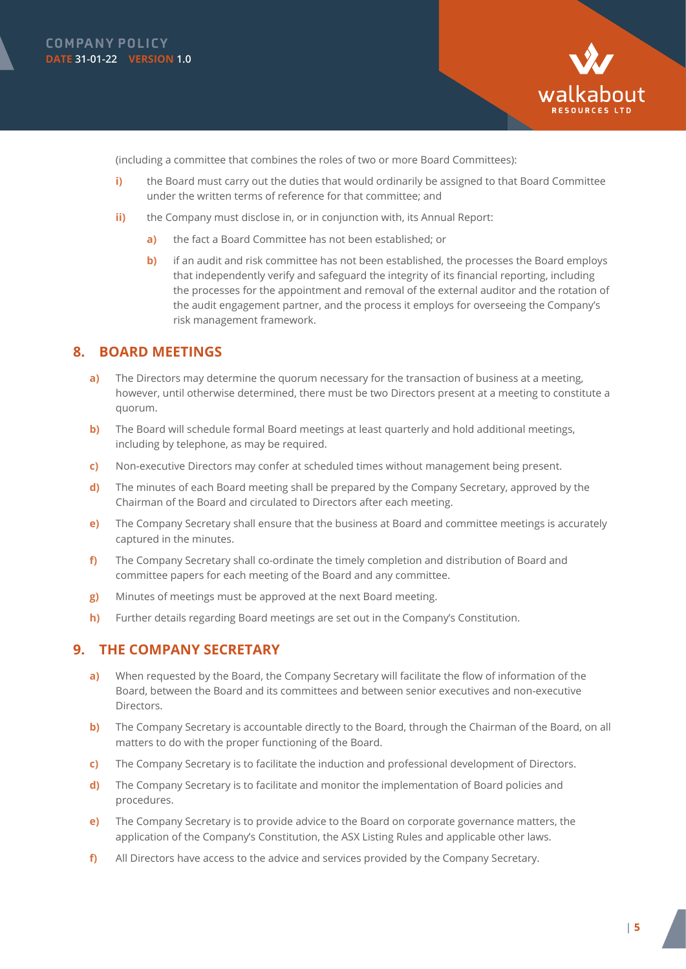



(including a committee that combines the roles of two or more Board Committees):

- **i)** the Board must carry out the duties that would ordinarily be assigned to that Board Committee under the written terms of reference for that committee; and
- **ii)** the Company must disclose in, or in conjunction with, its Annual Report:
	- **a)** the fact a Board Committee has not been established; or
	- **b)** if an audit and risk committee has not been established, the processes the Board employs that independently verify and safeguard the integrity of its financial reporting, including the processes for the appointment and removal of the external auditor and the rotation of the audit engagement partner, and the process it employs for overseeing the Company's risk management framework.

#### **8. BOARD MEETINGS**

- **a)** The Directors may determine the quorum necessary for the transaction of business at a meeting, however, until otherwise determined, there must be two Directors present at a meeting to constitute a quorum.
- **b**) The Board will schedule formal Board meetings at least quarterly and hold additional meetings, including by telephone, as may be required.
- **c)** Non-executive Directors may confer at scheduled times without management being present.
- **d)** The minutes of each Board meeting shall be prepared by the Company Secretary, approved by the Chairman of the Board and circulated to Directors after each meeting.
- **e)** The Company Secretary shall ensure that the business at Board and committee meetings is accurately captured in the minutes.
- **f)** The Company Secretary shall co-ordinate the timely completion and distribution of Board and committee papers for each meeting of the Board and any committee.
- **g)** Minutes of meetings must be approved at the next Board meeting.
- **h)** Further details regarding Board meetings are set out in the Company's Constitution.

#### **9. THE COMPANY SECRETARY**

- **a)** When requested by the Board, the Company Secretary will facilitate the flow of information of the Board, between the Board and its committees and between senior executives and non-executive Directors.
- **b)** The Company Secretary is accountable directly to the Board, through the Chairman of the Board, on all matters to do with the proper functioning of the Board.
- **c)** The Company Secretary is to facilitate the induction and professional development of Directors.
- **d)** The Company Secretary is to facilitate and monitor the implementation of Board policies and procedures.
- **e)** The Company Secretary is to provide advice to the Board on corporate governance matters, the application of the Company's Constitution, the ASX Listing Rules and applicable other laws.
- **f)** All Directors have access to the advice and services provided by the Company Secretary.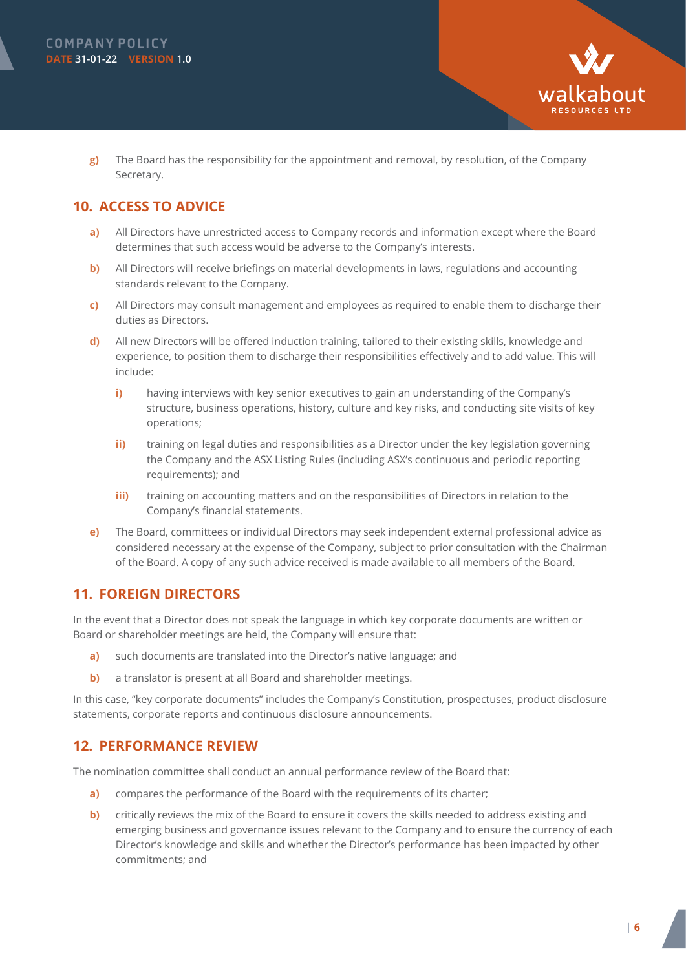



**g)** The Board has the responsibility for the appointment and removal, by resolution, of the Company Secretary.

# **10. ACCESS TO ADVICE**

- **a)** All Directors have unrestricted access to Company records and information except where the Board determines that such access would be adverse to the Company's interests.
- **b)** All Directors will receive briefings on material developments in laws, regulations and accounting standards relevant to the Company.
- **c)** All Directors may consult management and employees as required to enable them to discharge their duties as Directors.
- **d)** All new Directors will be offered induction training, tailored to their existing skills, knowledge and experience, to position them to discharge their responsibilities effectively and to add value. This will include:
	- **i)** having interviews with key senior executives to gain an understanding of the Company's structure, business operations, history, culture and key risks, and conducting site visits of key operations;
	- **ii)** training on legal duties and responsibilities as a Director under the key legislation governing the Company and the ASX Listing Rules (including ASX's continuous and periodic reporting requirements); and
	- **iii)** training on accounting matters and on the responsibilities of Directors in relation to the Company's financial statements.
- **e)** The Board, committees or individual Directors may seek independent external professional advice as considered necessary at the expense of the Company, subject to prior consultation with the Chairman of the Board. A copy of any such advice received is made available to all members of the Board.

# **11. FOREIGN DIRECTORS**

In the event that a Director does not speak the language in which key corporate documents are written or Board or shareholder meetings are held, the Company will ensure that:

- **a)** such documents are translated into the Director's native language; and
- **b**) a translator is present at all Board and shareholder meetings.

In this case, "key corporate documents" includes the Company's Constitution, prospectuses, product disclosure statements, corporate reports and continuous disclosure announcements.

# **12. PERFORMANCE REVIEW**

The nomination committee shall conduct an annual performance review of the Board that:

- **a)** compares the performance of the Board with the requirements of its charter;
- **b)** critically reviews the mix of the Board to ensure it covers the skills needed to address existing and emerging business and governance issues relevant to the Company and to ensure the currency of each Director's knowledge and skills and whether the Director's performance has been impacted by other commitments; and